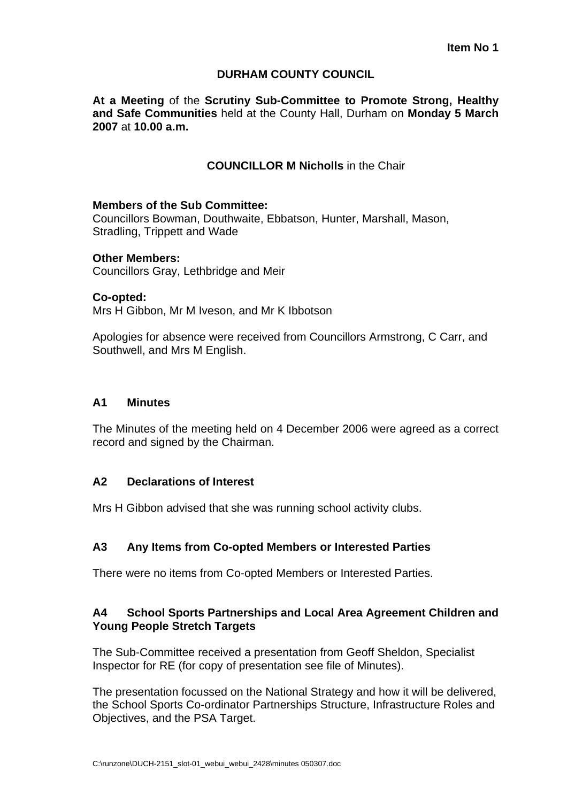### **DURHAM COUNTY COUNCIL**

**At a Meeting** of the **Scrutiny Sub-Committee to Promote Strong, Healthy and Safe Communities** held at the County Hall, Durham on **Monday 5 March 2007** at **10.00 a.m.** 

### **COUNCILLOR M Nicholls** in the Chair

#### **Members of the Sub Committee:**

Councillors Bowman, Douthwaite, Ebbatson, Hunter, Marshall, Mason, Stradling, Trippett and Wade

#### **Other Members:**

Councillors Gray, Lethbridge and Meir

#### **Co-opted:**

Mrs H Gibbon, Mr M Iveson, and Mr K Ibbotson

Apologies for absence were received from Councillors Armstrong, C Carr, and Southwell, and Mrs M English.

### **A1 Minutes**

The Minutes of the meeting held on 4 December 2006 were agreed as a correct record and signed by the Chairman.

#### **A2 Declarations of Interest**

Mrs H Gibbon advised that she was running school activity clubs.

## **A3 Any Items from Co-opted Members or Interested Parties**

There were no items from Co-opted Members or Interested Parties.

### **A4 School Sports Partnerships and Local Area Agreement Children and Young People Stretch Targets**

The Sub-Committee received a presentation from Geoff Sheldon, Specialist Inspector for RE (for copy of presentation see file of Minutes).

The presentation focussed on the National Strategy and how it will be delivered, the School Sports Co-ordinator Partnerships Structure, Infrastructure Roles and Objectives, and the PSA Target.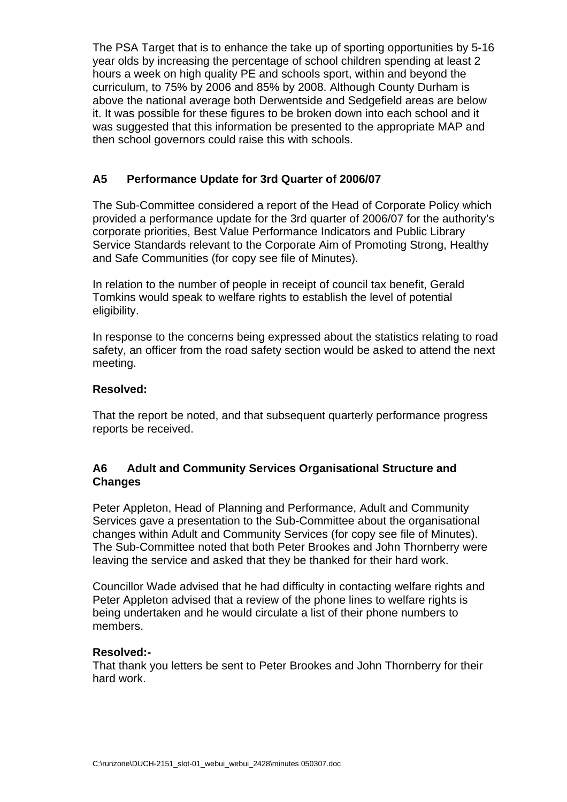The PSA Target that is to enhance the take up of sporting opportunities by 5-16 year olds by increasing the percentage of school children spending at least 2 hours a week on high quality PE and schools sport, within and beyond the curriculum, to 75% by 2006 and 85% by 2008. Although County Durham is above the national average both Derwentside and Sedgefield areas are below it. It was possible for these figures to be broken down into each school and it was suggested that this information be presented to the appropriate MAP and then school governors could raise this with schools.

# **A5 Performance Update for 3rd Quarter of 2006/07**

The Sub-Committee considered a report of the Head of Corporate Policy which provided a performance update for the 3rd quarter of 2006/07 for the authority's corporate priorities, Best Value Performance Indicators and Public Library Service Standards relevant to the Corporate Aim of Promoting Strong, Healthy and Safe Communities (for copy see file of Minutes).

In relation to the number of people in receipt of council tax benefit, Gerald Tomkins would speak to welfare rights to establish the level of potential eligibility.

In response to the concerns being expressed about the statistics relating to road safety, an officer from the road safety section would be asked to attend the next meeting.

## **Resolved:**

That the report be noted, and that subsequent quarterly performance progress reports be received.

# **A6 Adult and Community Services Organisational Structure and Changes**

Peter Appleton, Head of Planning and Performance, Adult and Community Services gave a presentation to the Sub-Committee about the organisational changes within Adult and Community Services (for copy see file of Minutes). The Sub-Committee noted that both Peter Brookes and John Thornberry were leaving the service and asked that they be thanked for their hard work.

Councillor Wade advised that he had difficulty in contacting welfare rights and Peter Appleton advised that a review of the phone lines to welfare rights is being undertaken and he would circulate a list of their phone numbers to members.

#### **Resolved:-**

That thank you letters be sent to Peter Brookes and John Thornberry for their hard work.